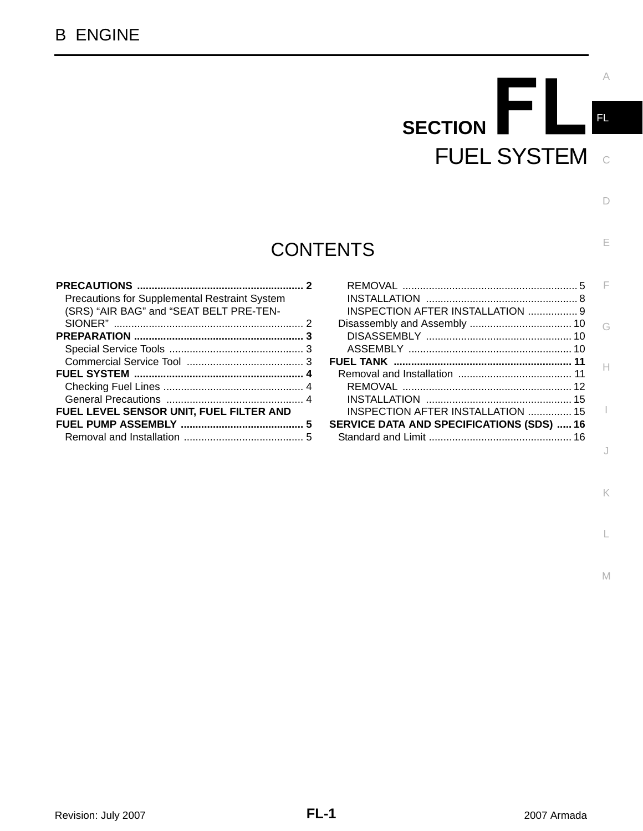# FI **SECTION**  FUEL SYSTEM

# **CONTENTS**

| <b>Precautions for Supplemental Restraint System</b> |   |
|------------------------------------------------------|---|
| (SRS) "AIR BAG" and "SEAT BELT PRE-TEN-              |   |
|                                                      |   |
|                                                      | З |
|                                                      |   |
|                                                      |   |
|                                                      |   |
|                                                      |   |
|                                                      |   |
| FUEL LEVEL SENSOR UNIT, FUEL FILTER AND              |   |
|                                                      | 5 |
|                                                      |   |
|                                                      |   |

| INSPECTION AFTER INSTALLATION  15                |  |
|--------------------------------------------------|--|
| <b>SERVICE DATA AND SPECIFICATIONS (SDS)  16</b> |  |
|                                                  |  |
|                                                  |  |

L

K

C

FL

A

D

E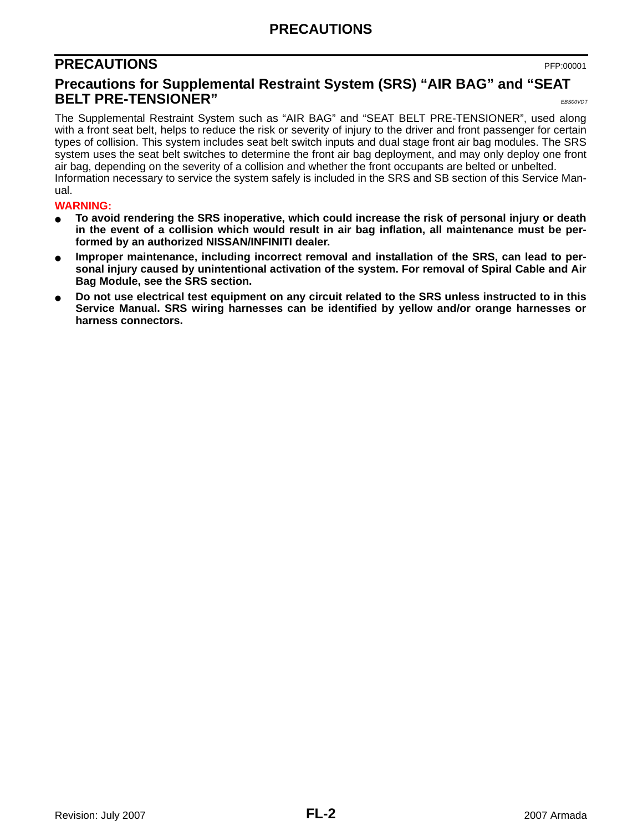# **PRECAUTIONS**

# <span id="page-1-0"></span>**PRECAUTIONS** PFP:00001

### <span id="page-1-1"></span>**Precautions for Supplemental Restraint System (SRS) "AIR BAG" and "SEAT BELT PRE-TENSIONER"** EBS00VDT

The Supplemental Restraint System such as "AIR BAG" and "SEAT BELT PRE-TENSIONER", used along with a front seat belt, helps to reduce the risk or severity of injury to the driver and front passenger for certain types of collision. This system includes seat belt switch inputs and dual stage front air bag modules. The SRS system uses the seat belt switches to determine the front air bag deployment, and may only deploy one front air bag, depending on the severity of a collision and whether the front occupants are belted or unbelted. Information necessary to service the system safely is included in the SRS and SB section of this Service Manual.

#### **WARNING:**

- **To avoid rendering the SRS inoperative, which could increase the risk of personal injury or death in the event of a collision which would result in air bag inflation, all maintenance must be performed by an authorized NISSAN/INFINITI dealer.**
- Improper maintenance, including incorrect removal and installation of the SRS, can lead to per**sonal injury caused by unintentional activation of the system. For removal of Spiral Cable and Air Bag Module, see the SRS section.**
- Do not use electrical test equipment on any circuit related to the SRS unless instructed to in this **Service Manual. SRS wiring harnesses can be identified by yellow and/or orange harnesses or harness connectors.**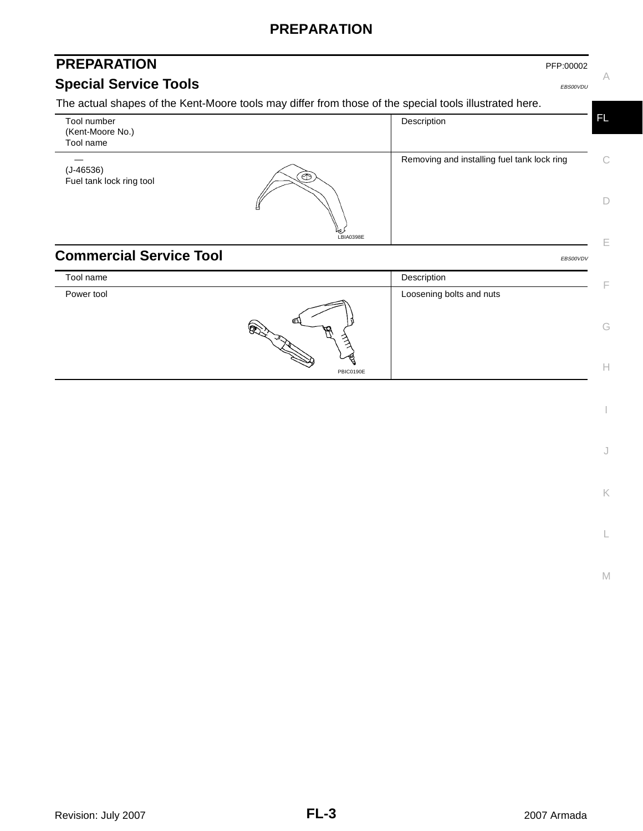## **PREPARATION**

# <span id="page-2-1"></span><span id="page-2-0"></span>**PREPARATION Special Service Tools** EBS00VDU

A

The actual shapes of the Kent-Moore tools may differ from those of the special tools illustrated here.

<span id="page-2-2"></span>

| Tool number<br>(Kent-Moore No.)<br>Tool name |           | Description                                 | <b>FL</b>    |
|----------------------------------------------|-----------|---------------------------------------------|--------------|
| $(J-46536)$<br>Fuel tank lock ring tool      | ಄         | Removing and installing fuel tank lock ring | $\mathsf{C}$ |
|                                              |           |                                             | D            |
|                                              | LBIA0398E |                                             |              |
| <b>Commercial Service Tool</b>               |           | EBS00VDV                                    |              |
| Tool name                                    |           | Description                                 | F            |
| Power tool                                   |           | Loosening bolts and nuts                    |              |
|                                              |           |                                             | G            |
|                                              | PBIC0190E |                                             | н            |

J

K

L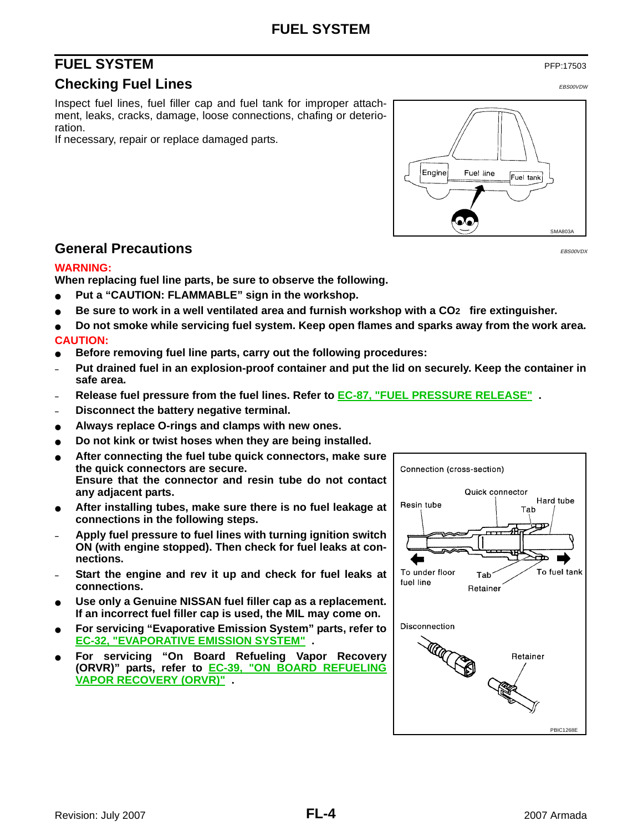# <span id="page-3-0"></span>**FUEL SYSTEM** PFP:17503

#### <span id="page-3-1"></span>**Checking Fuel Lines** EBS00VDW **EBS00VDW**

Inspect fuel lines, fuel filler cap and fuel tank for improper attachment, leaks, cracks, damage, loose connections, chafing or deterioration.

If necessary, repair or replace damaged parts.

# Engine Fuel line Fuel tank SMA803A

#### <span id="page-3-2"></span>**General Precautions** Executions EXACUTE: **CONDITIONS**

#### **WARNING:**

**When replacing fuel line parts, be sure to observe the following.**

- Put a "CAUTION: FLAMMABLE" sign in the workshop.
- Be sure to work in a well ventilated area and furnish workshop with a CO<sub>2</sub> fire extinguisher.
- **Do not smoke while servicing fuel system. Keep open flames and sparks away from the work area. CAUTION:**
- Before removing fuel line parts, carry out the following procedures:
- **– Put drained fuel in an explosion-proof container and put the lid on securely. Keep the container in safe area.**
- **– Release fuel pressure from the fuel lines. Refer to EC-87, "FUEL PRESSURE RELEASE" .**
- **– Disconnect the battery negative terminal.**
- Always replace O-rings and clamps with new ones.
- Do not kink or twist hoses when they are being installed.
- After connecting the fuel tube quick connectors, make sure **the quick connectors are secure. Ensure that the connector and resin tube do not contact any adjacent parts.**
- **After installing tubes, make sure there is no fuel leakage at connections in the following steps.**
- **– Apply fuel pressure to fuel lines with turning ignition switch ON (with engine stopped). Then check for fuel leaks at connections.**
- **– Start the engine and rev it up and check for fuel leaks at connections.**
- Use only a Genuine NISSAN fuel filler cap as a replacement. **If an incorrect fuel filler cap is used, the MIL may come on.**
- **For servicing "Evaporative Emission System" parts, refer to EC-32, "EVAPORATIVE EMISSION SYSTEM" .**
- **For servicing "On Board Refueling Vapor Recovery (ORVR)" parts, refer to EC-39, "ON BOARD REFUELING VAPOR RECOVERY (ORVR)" .**

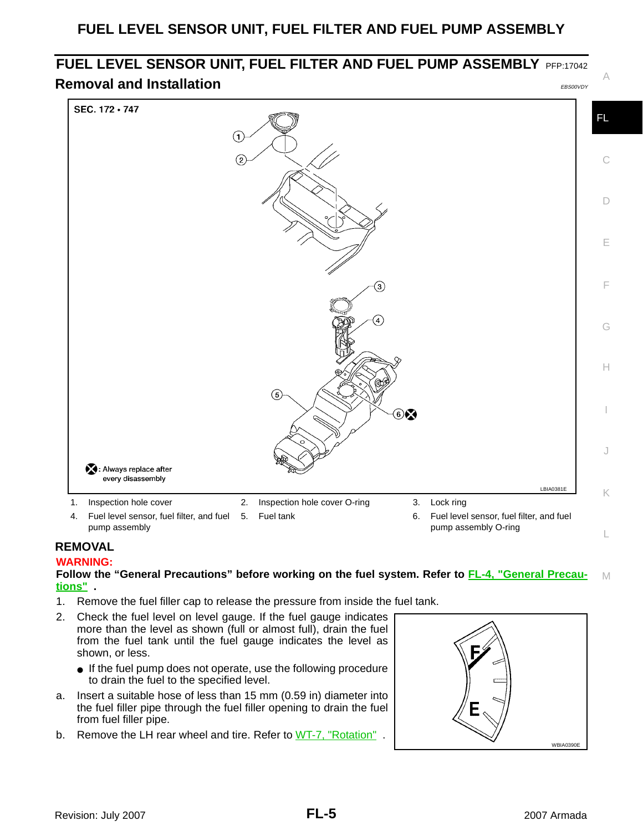# <span id="page-4-0"></span>**FUEL LEVEL SENSOR UNIT, FUEL FILTER AND FUEL PUMP ASSEMBLY** PFP:17042 **Removal and Installation** Example 2014 12:30 and EBS00VDY

<span id="page-4-1"></span>

#### <span id="page-4-2"></span>**REMOVAL**

#### **WARNING:**

#### M **Follow the "General Precautions" before working on the fuel system. Refer to [FL-4, "General Precau](#page-3-2)[tions"](#page-3-2) .**

- 1. Remove the fuel filler cap to release the pressure from inside the fuel tank.
- 2. Check the fuel level on level gauge. If the fuel gauge indicates more than the level as shown (full or almost full), drain the fuel from the fuel tank until the fuel gauge indicates the level as shown, or less.
	- If the fuel pump does not operate, use the following procedure to drain the fuel to the specified level.
- a. Insert a suitable hose of less than 15 mm (0.59 in) diameter into the fuel filler pipe through the fuel filler opening to drain the fuel from fuel filler pipe.
- b. Remove the LH rear wheel and tire. Refer to WT-7, "Rotation".



A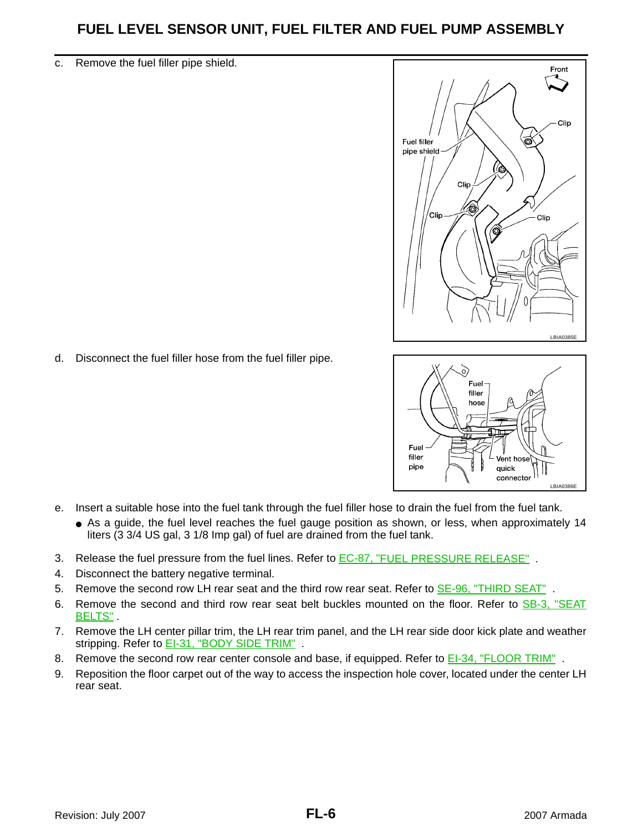#### c. Remove the fuel filler pipe shield.



- o, Fuel filler hose Fuel filler  $\mathsf{V}$ ent hose pipe quick connector LBIA0386E
- d. Disconnect the fuel filler hose from the fuel filler pipe.

- e. Insert a suitable hose into the fuel tank through the fuel filler hose to drain the fuel from the fuel tank.
	- As a guide, the fuel level reaches the fuel gauge position as shown, or less, when approximately 14 liters (3 3/4 US gal, 3 1/8 Imp gal) of fuel are drained from the fuel tank.
- 3. Release the fuel pressure from the fuel lines. Refer to **EC-87, "FUEL PRESSURE RELEASE"**.
- 4. Disconnect the battery negative terminal.
- 5. Remove the second row LH rear seat and the third row rear seat. Refer to **SE-96, "THIRD SEAT"**.
- 6. Remove the second and third row rear seat belt buckles mounted on the floor. Refer to SB-3, "SEAT BELTS".
- 7. Remove the LH center pillar trim, the LH rear trim panel, and the LH rear side door kick plate and weather stripping. Refer to **EI-31, "BODY SIDE TRIM"**.
- 8. Remove the second row rear center console and base, if equipped. Refer to EI-34, "FLOOR TRIM".
- 9. Reposition the floor carpet out of the way to access the inspection hole cover, located under the center LH rear seat.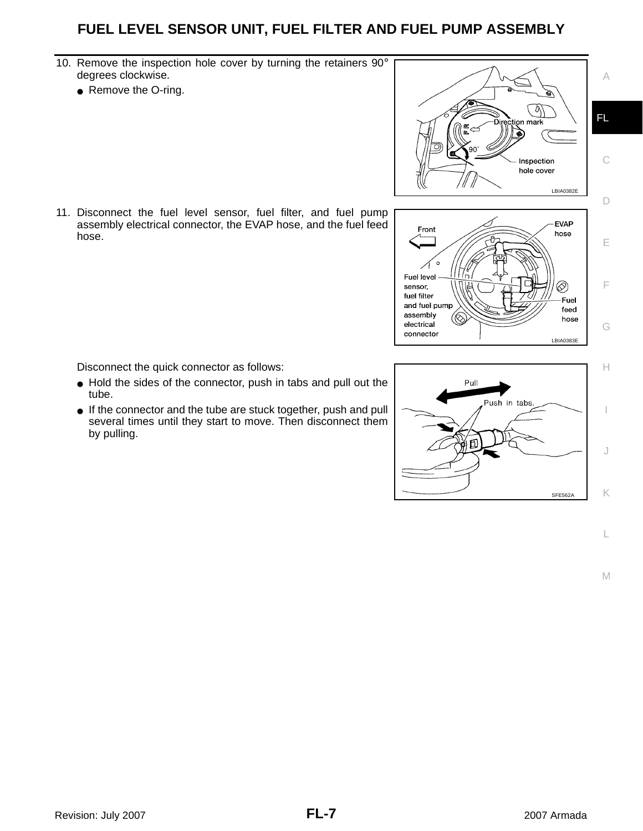- 10. Remove the inspection hole cover by turning the retainers 90° degrees clockwise.
	- Remove the O-ring.

11. Disconnect the fuel level sensor, fuel filter, and fuel pump assembly electrical connector, the EVAP hose, and the fuel feed hose.

Disconnect the quick connector as follows:

- Hold the sides of the connector, push in tabs and pull out the tube.
- If the connector and the tube are stuck together, push and pull several times until they start to move. Then disconnect them by pulling.





 $\circ$ 

Fuel level

assembly

electrical connector

and fuel pump

sensor. fuel filter

M

L

C

A

D

E

F

G

LBIA0383E

⊗

Fuel

feed

hose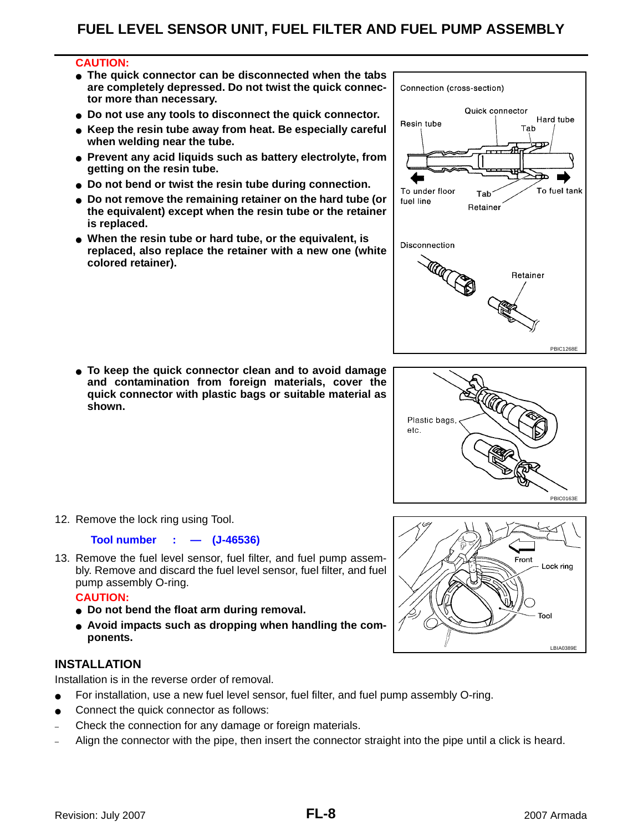#### **CAUTION:**

- **The quick connector can be disconnected when the tabs are completely depressed. Do not twist the quick connector more than necessary.**
- **Do not use any tools to disconnect the quick connector.**
- **Keep the resin tube away from heat. Be especially careful when welding near the tube.**
- **Prevent any acid liquids such as battery electrolyte, from getting on the resin tube.**
- **Do not bend or twist the resin tube during connection.**
- **Do not remove the remaining retainer on the hard tube (or the equivalent) except when the resin tube or the retainer is replaced.**
- **When the resin tube or hard tube, or the equivalent, is replaced, also replace the retainer with a new one (white colored retainer).**

● **To keep the quick connector clean and to avoid damage and contamination from foreign materials, cover the quick connector with plastic bags or suitable material as shown.** 

12. Remove the lock ring using Tool.

#### **Tool number : — (J-46536)**

13. Remove the fuel level sensor, fuel filter, and fuel pump assembly. Remove and discard the fuel level sensor, fuel filter, and fuel pump assembly O-ring.

#### **CAUTION:**

- **Do not bend the float arm during removal.**
- **Avoid impacts such as dropping when handling the components.**

#### <span id="page-7-0"></span>**INSTALLATION**

Installation is in the reverse order of removal.

- For installation, use a new fuel level sensor, fuel filter, and fuel pump assembly O-ring.
- Connect the quick connector as follows:
- Check the connection for any damage or foreign materials.
- Align the connector with the pipe, then insert the connector straight into the pipe until a click is heard.





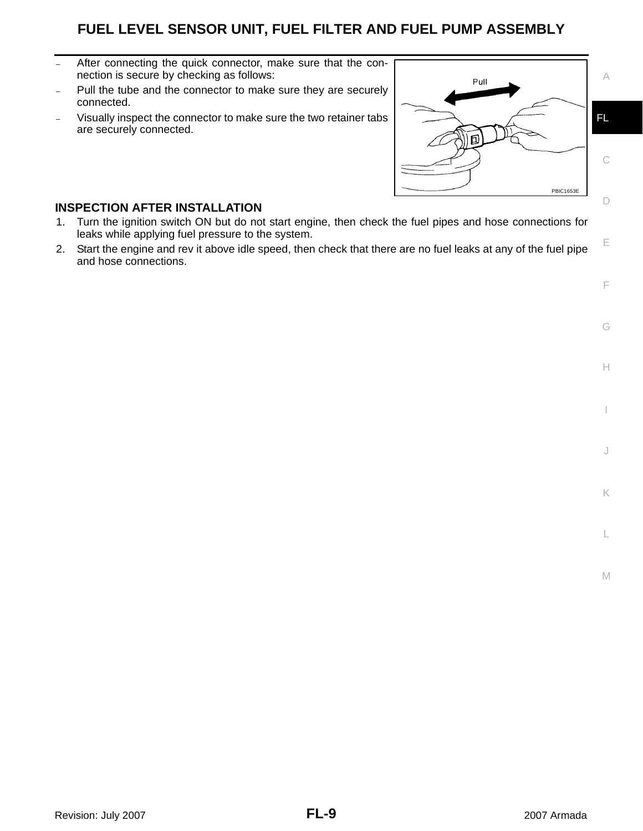- After connecting the quick connector, make sure that the connection is secure by checking as follows:
- Pull the tube and the connector to make sure they are securely connected.
- Visually inspect the connector to make sure the two retainer tabs are securely connected.



#### <span id="page-8-0"></span>**INSPECTION AFTER INSTALLATION**

- 1. Turn the ignition switch ON but do not start engine, then check the fuel pipes and hose connections for leaks while applying fuel pressure to the system.
- 2. Start the engine and rev it above idle speed, then check that there are no fuel leaks at any of the fuel pipe and hose connections.

G

H

I

J

K

L

M

E

F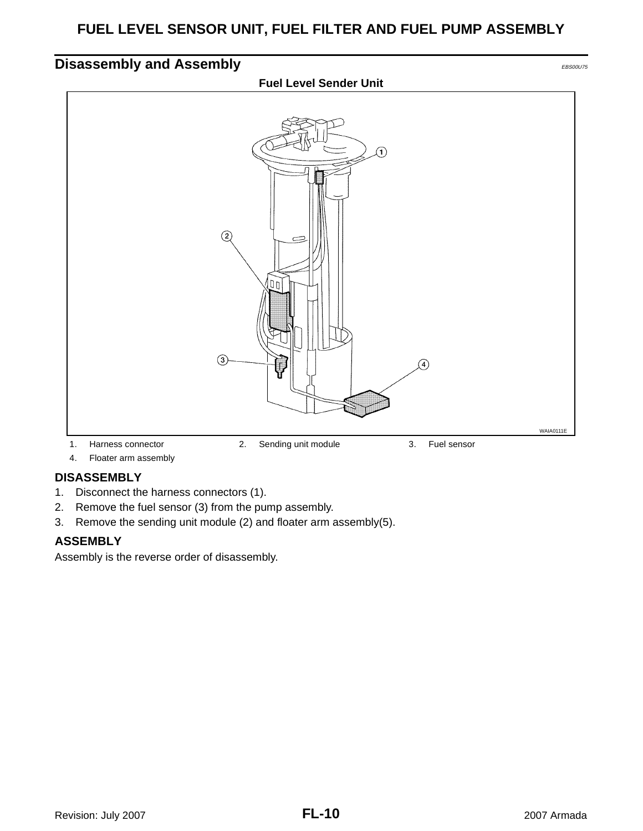# <span id="page-9-0"></span>**Disassembly and Assembly EDISON CONSTRUCTER CONSTRUCTED ASSOCIATED Fuel Level Sender Unit** ি  $(2)$ [חם]  $\left( 3\right)$  $\Omega$ WAIA0111E 1. Harness connector 2. Sending unit module 3. Fuel sensor

4. Floater arm assembly

#### <span id="page-9-1"></span>**DISASSEMBLY**

- 1. Disconnect the harness connectors (1).
- 2. Remove the fuel sensor (3) from the pump assembly.
- 3. Remove the sending unit module (2) and floater arm assembly(5).

#### <span id="page-9-2"></span>**ASSEMBLY**

Assembly is the reverse order of disassembly.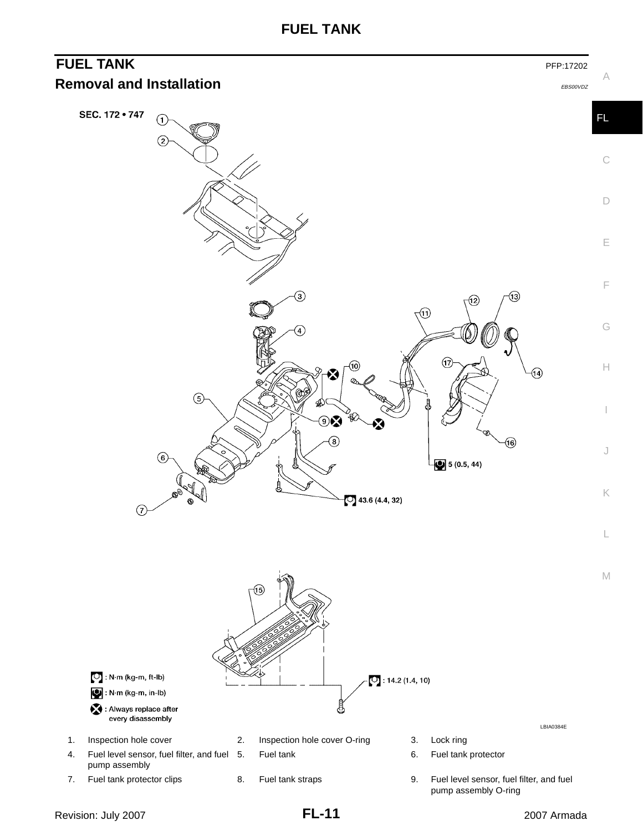**FUEL TANK**

<span id="page-10-1"></span><span id="page-10-0"></span>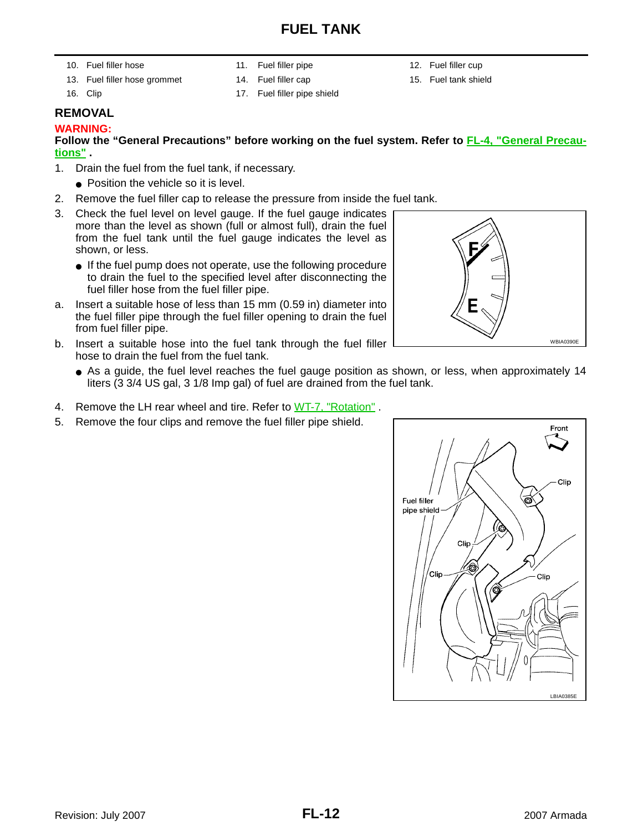# **FUEL TANK**

- 10. Fuel filler hose 11. Fuel filler pipe 12. Fuel filler cup
	-
- 
- 13. Fuel filler hose grommet 14. Fuel filler cap 15. Fuel tank shield
- 
- 
- 16. Clip 17. Fuel filler pipe shield
- <span id="page-11-0"></span>**REMOVAL**

#### **WARNING:**

#### **Follow the "General Precautions" before working on the fuel system. Refer to [FL-4, "General Precau](#page-3-2)[tions"](#page-3-2) .**

- 1. Drain the fuel from the fuel tank, if necessary.
	- Position the vehicle so it is level.
- 2. Remove the fuel filler cap to release the pressure from inside the fuel tank.
- 3. Check the fuel level on level gauge. If the fuel gauge indicates more than the level as shown (full or almost full), drain the fuel from the fuel tank until the fuel gauge indicates the level as shown, or less.
	- If the fuel pump does not operate, use the following procedure to drain the fuel to the specified level after disconnecting the fuel filler hose from the fuel filler pipe.
- a. Insert a suitable hose of less than 15 mm (0.59 in) diameter into the fuel filler pipe through the fuel filler opening to drain the fuel from fuel filler pipe.
- b. Insert a suitable hose into the fuel tank through the fuel filler hose to drain the fuel from the fuel tank.
	- As a quide, the fuel level reaches the fuel gauge position as shown, or less, when approximately 14 liters (3 3/4 US gal, 3 1/8 Imp gal) of fuel are drained from the fuel tank.
- 4. Remove the LH rear wheel and tire. Refer to WT-7, "Rotation".
- 5. Remove the four clips and remove the fuel filler pipe shield.



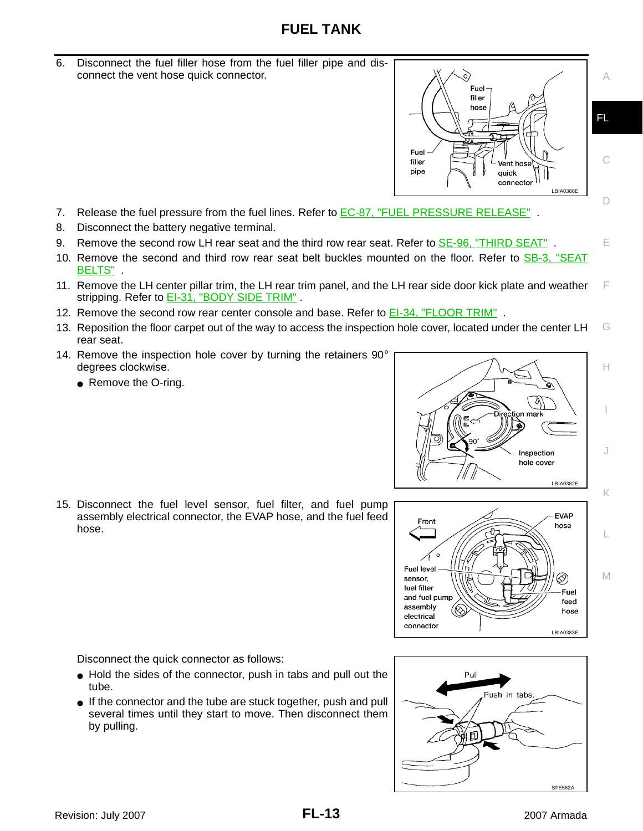# **FUEL TANK**

6. Disconnect the fuel filler hose from the fuel filler pipe and disconnect the vent hose quick connector.



- 7. Release the fuel pressure from the fuel lines. Refer to **EC-87, "FUEL PRESSURE RELEASE"**.
- 8. Disconnect the battery negative terminal.
- 9. Remove the second row LH rear seat and the third row rear seat. Refer to **SE-96, "THIRD SEAT"**.
- 10. Remove the second and third row rear seat belt buckles mounted on the floor. Refer to SB-3, "SEAT BELTS" .
- 11. Remove the LH center pillar trim, the LH rear trim panel, and the LH rear side door kick plate and weather stripping. Refer to **EI-31, "BODY SIDE TRIM"**.
- 12. Remove the second row rear center console and base. Refer to EI-34, "FLOOR TRIM"
- G 13. Reposition the floor carpet out of the way to access the inspection hole cover, located under the center LH rear seat.
- 14. Remove the inspection hole cover by turning the retainers 90° degrees clockwise.
	- Remove the O-ring.







Disconnect the quick connector as follows:

- Hold the sides of the connector, push in tabs and pull out the tube.
- If the connector and the tube are stuck together, push and pull several times until they start to move. Then disconnect them by pulling.



FL

A

C

D

E

F

H

I

J

K

L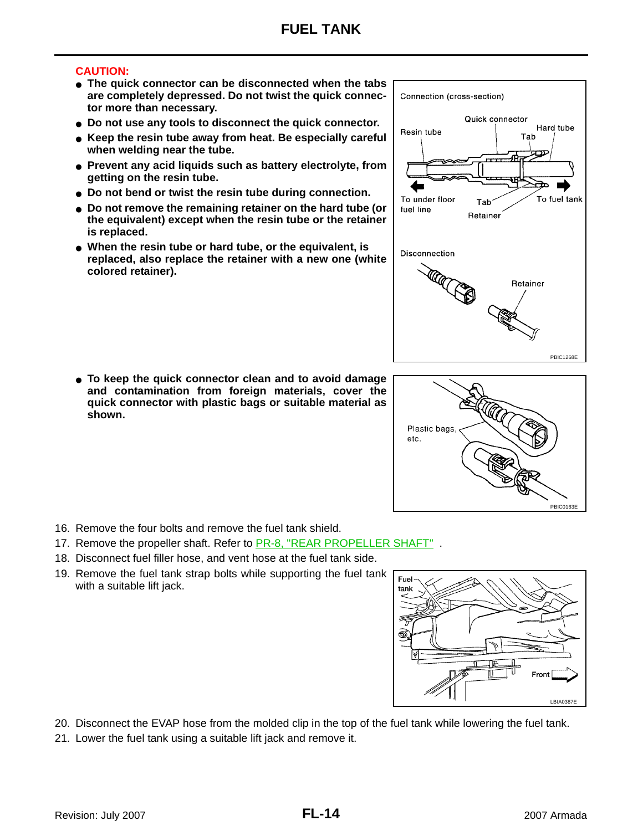#### **CAUTION:**

- **The quick connector can be disconnected when the tabs are completely depressed. Do not twist the quick connector more than necessary.**
- **Do not use any tools to disconnect the quick connector.**
- **Keep the resin tube away from heat. Be especially careful when welding near the tube.**
- **Prevent any acid liquids such as battery electrolyte, from getting on the resin tube.**
- **Do not bend or twist the resin tube during connection.**
- **Do not remove the remaining retainer on the hard tube (or the equivalent) except when the resin tube or the retainer is replaced.**
- **When the resin tube or hard tube, or the equivalent, is replaced, also replace the retainer with a new one (white colored retainer).**

● **To keep the quick connector clean and to avoid damage and contamination from foreign materials, cover the quick connector with plastic bags or suitable material as shown.** 

- 16. Remove the four bolts and remove the fuel tank shield.
- 17. Remove the propeller shaft. Refer to PR-8, "REAR PROPELLER SHAFT" .
- 18. Disconnect fuel filler hose, and vent hose at the fuel tank side.
- 19. Remove the fuel tank strap bolts while supporting the fuel tank with a suitable lift jack.



- 20. Disconnect the EVAP hose from the molded clip in the top of the fuel tank while lowering the fuel tank.
- 21. Lower the fuel tank using a suitable lift jack and remove it.



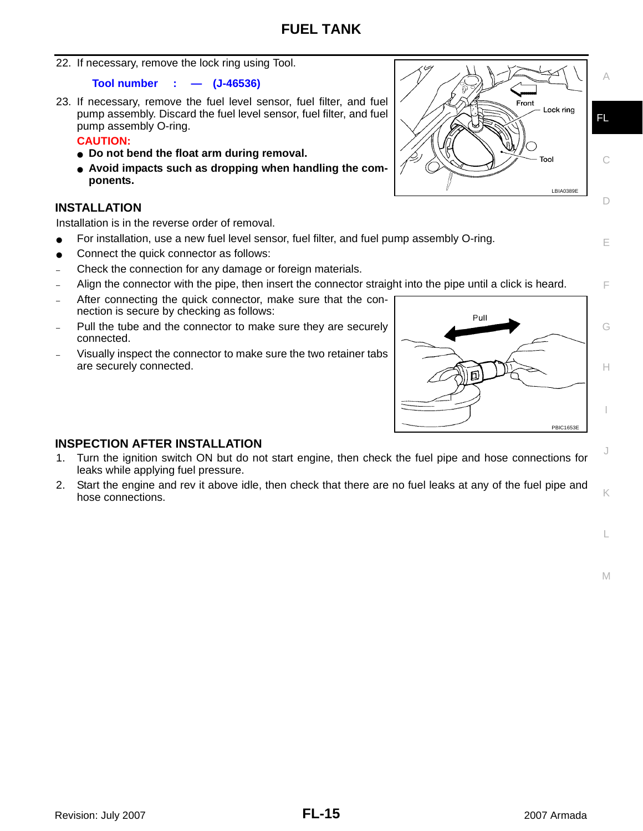22. If necessary, remove the lock ring using Tool.

#### **Tool number : — (J-46536)**

23. If necessary, remove the fuel level sensor, fuel filter, and fuel pump assembly. Discard the fuel level sensor, fuel filter, and fuel pump assembly O-ring.

#### **CAUTION:**

- **Do not bend the float arm during removal.**
- **Avoid impacts such as dropping when handling the components.**

#### <span id="page-14-0"></span>**INSTALLATION**

Installation is in the reverse order of removal.

- For installation, use a new fuel level sensor, fuel filter, and fuel pump assembly O-ring.
- Connect the quick connector as follows:
- Check the connection for any damage or foreign materials.
- Align the connector with the pipe, then insert the connector straight into the pipe until a click is heard.
- After connecting the quick connector, make sure that the connection is secure by checking as follows:
- Pull the tube and the connector to make sure they are securely connected.
- Visually inspect the connector to make sure the two retainer tabs are securely connected.



#### <span id="page-14-1"></span>**INSPECTION AFTER INSTALLATION**

- 1. Turn the ignition switch ON but do not start engine, then check the fuel pipe and hose connections for leaks while applying fuel pressure.
- 2. Start the engine and rev it above idle, then check that there are no fuel leaks at any of the fuel pipe and hose connections.

Front Lock ring FL Tool C LBIA0389E D

$$
\mathsf{A}
$$

E

F

G

H

I

J

K

L